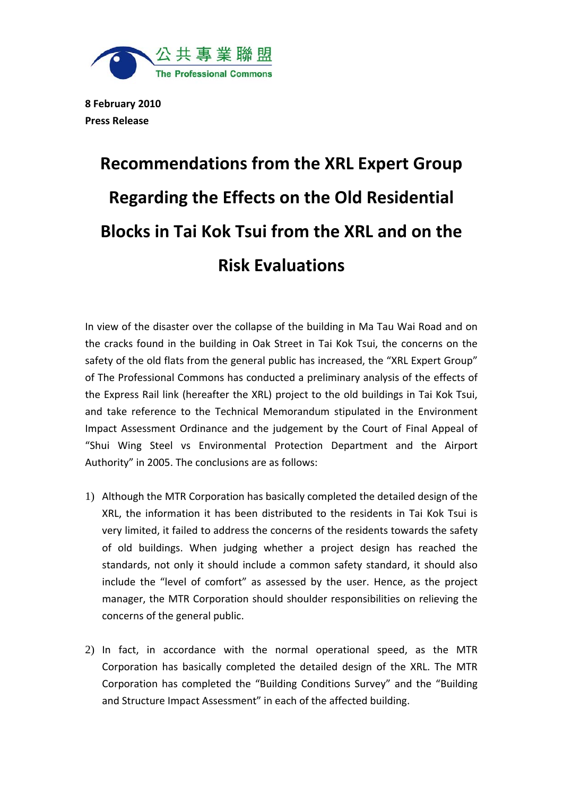

**8 February 2010 Press Release**

## **Recommendations from the XRL Expert Group Regarding the Effects on the Old Residential Blocks in Tai Kok Tsui from the XRL and on the Risk Evaluations**

In view of the disaster over the collapse of the building in Ma Tau Wai Road and on the cracks found in the building in Oak Street in Tai Kok Tsui, the concerns on the safety of the old flats from the general public has increased, the "XRL Expert Group" of The Professional Commons has conducted a preliminary analysis of the effects of the Express Rail link (hereafter the XRL) project to the old buildings in Tai Kok Tsui, and take reference to the Technical Memorandum stipulated in the Environment Impact Assessment Ordinance and the judgement by the Court of Final Appeal of "Shui Wing Steel vs Environmental Protection Department and the Airport Authority" in 2005. The conclusions are as follows:

- 1) Although the MTR Corporation has basically completed the detailed design of the XRL, the information it has been distributed to the residents in Tai Kok Tsui is very limited, it failed to address the concerns of the residents towards the safety of old buildings. When judging whether a project design has reached the standards, not only it should include a common safety standard, it should also include the "level of comfort" as assessed by the user. Hence, as the project manager, the MTR Corporation should shoulder responsibilities on relieving the concerns of the general public.
- 2) In fact, in accordance with the normal operational speed, as the MTR Corporation has basically completed the detailed design of the XRL. The MTR Corporation has completed the "Building Conditions Survey" and the "Building and Structure Impact Assessment" in each of the affected building.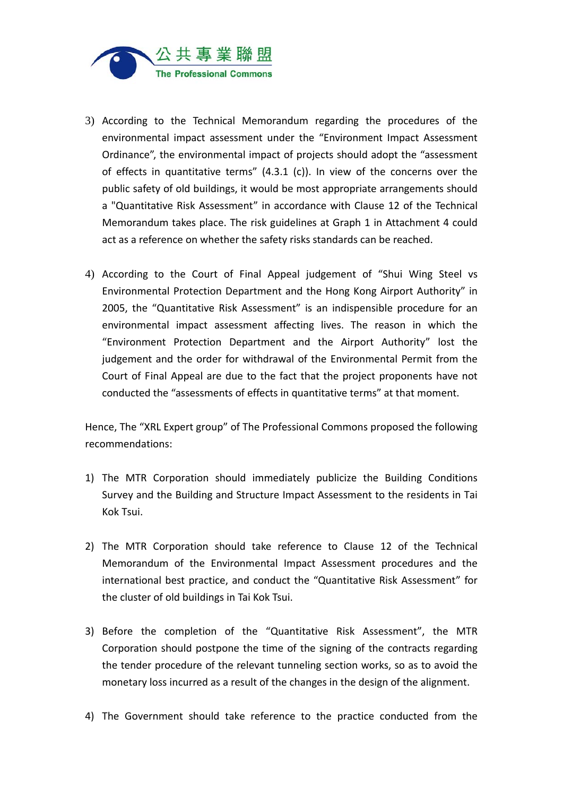

- 3) According to the Technical Memorandum regarding the procedures of the environmental impact assessment under the "Environment Impact Assessment Ordinance", the environmental impact of projects should adopt the "assessment of effects in quantitative terms" (4.3.1 (c)). In view of the concerns over the public safety of old buildings, it would be most appropriate arrangements should a "Quantitative Risk Assessment" in accordance with Clause 12 of the Technical Memorandum takes place. The risk guidelines at Graph 1 in Attachment 4 could act as a reference on whether the safety risks standards can be reached.
- 4) According to the Court of Final Appeal judgement of "Shui Wing Steel vs Environmental Protection Department and the Hong Kong Airport Authority" in 2005, the "Quantitative Risk Assessment" is an indispensible procedure for an environmental impact assessment affecting lives. The reason in which the "Environment Protection Department and the Airport Authority" lost the judgement and the order for withdrawal of the Environmental Permit from the Court of Final Appeal are due to the fact that the project proponents have not conducted the "assessments of effects in quantitative terms" at that moment.

Hence, The "XRL Expert group" of The Professional Commons proposed the following recommendations:

- 1) The MTR Corporation should immediately publicize the Building Conditions Survey and the Building and Structure Impact Assessment to the residents in Tai Kok Tsui.
- 2) The MTR Corporation should take reference to Clause 12 of the Technical Memorandum of the Environmental Impact Assessment procedures and the international best practice, and conduct the "Quantitative Risk Assessment" for the cluster of old buildings in Tai Kok Tsui.
- 3) Before the completion of the "Quantitative Risk Assessment", the MTR Corporation should postpone the time of the signing of the contracts regarding the tender procedure of the relevant tunneling section works, so as to avoid the monetary loss incurred as a result of the changes in the design of the alignment.
- 4) The Government should take reference to the practice conducted from the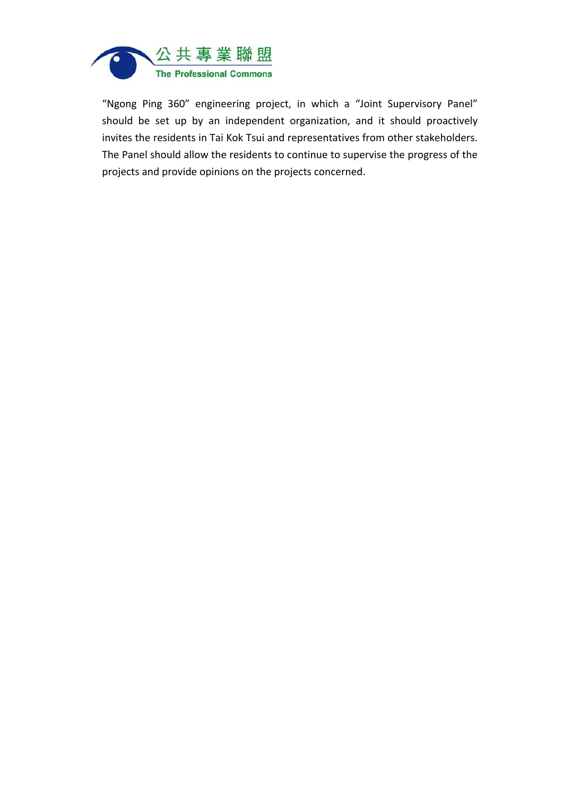

"Ngong Ping 360" engineering project, in which a "Joint Supervisory Panel" should be set up by an independent organization, and it should proactively invites the residents in Tai Kok Tsui and representatives from other stakeholders. The Panel should allow the residents to continue to supervise the progress of the projects and provide opinions on the projects concerned.